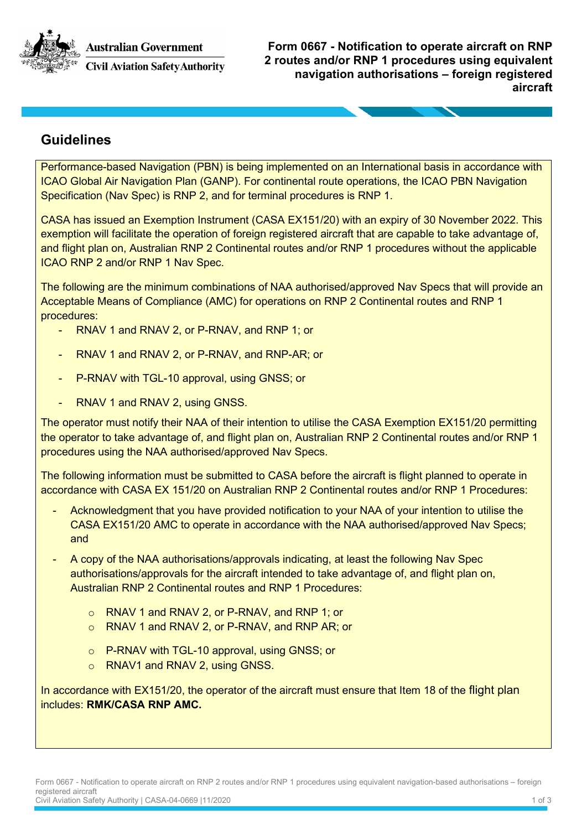**Australian Government** 



**Civil Aviation Safety Authority** 

**Form 0667 - Notification to operate aircraft on RNP 2 routes and/or RNP 1 procedures using equivalent navigation authorisations – foreign registered aircraft**

## **Guidelines**

Performance-based Navigation (PBN) is being implemented on an International basis in accordance with ICAO Global Air Navigation Plan (GANP). For continental route operations, the ICAO PBN Navigation Specification (Nav Spec) is RNP 2, and for terminal procedures is RNP 1.

CASA has issued an Exemption Instrument (CASA EX151/20) with an expiry of 30 November 2022. This exemption will facilitate the operation of foreign registered aircraft that are capable to take advantage of, and flight plan on, Australian RNP 2 Continental routes and/or RNP 1 procedures without the applicable ICAO RNP 2 and/or RNP 1 Nav Spec.

The following are the minimum combinations of NAA authorised/approved Nav Specs that will provide an Acceptable Means of Compliance (AMC) for operations on RNP 2 Continental routes and RNP 1 procedures:

- RNAV 1 and RNAV 2, or P-RNAV, and RNP 1; or
- RNAV 1 and RNAV 2, or P-RNAV, and RNP-AR; or
- P-RNAV with TGL-10 approval, using GNSS; or
- RNAV 1 and RNAV 2, using GNSS.

The operator must notify their NAA of their intention to utilise the CASA Exemption EX151/20 permitting the operator to take advantage of, and flight plan on, Australian RNP 2 Continental routes and/or RNP 1 procedures using the NAA authorised/approved Nav Specs.

The following information must be submitted to CASA before the aircraft is flight planned to operate in accordance with CASA EX 151/20 on Australian RNP 2 Continental routes and/or RNP 1 Procedures:

- Acknowledgment that you have provided notification to your NAA of your intention to utilise the CASA EX151/20 AMC to operate in accordance with the NAA authorised/approved Nav Specs; and
- A copy of the NAA authorisations/approvals indicating, at least the following Nav Spec authorisations/approvals for the aircraft intended to take advantage of, and flight plan on, Australian RNP 2 Continental routes and RNP 1 Procedures:
	- o RNAV 1 and RNAV 2, or P-RNAV, and RNP 1; or
	- o RNAV 1 and RNAV 2, or P-RNAV, and RNP AR; or
	- o P-RNAV with TGL-10 approval, using GNSS; or
	- o RNAV1 and RNAV 2, using GNSS.

In accordance with EX151/20, the operator of the aircraft must ensure that Item 18 of the flight plan includes: **RMK/CASA RNP AMC.**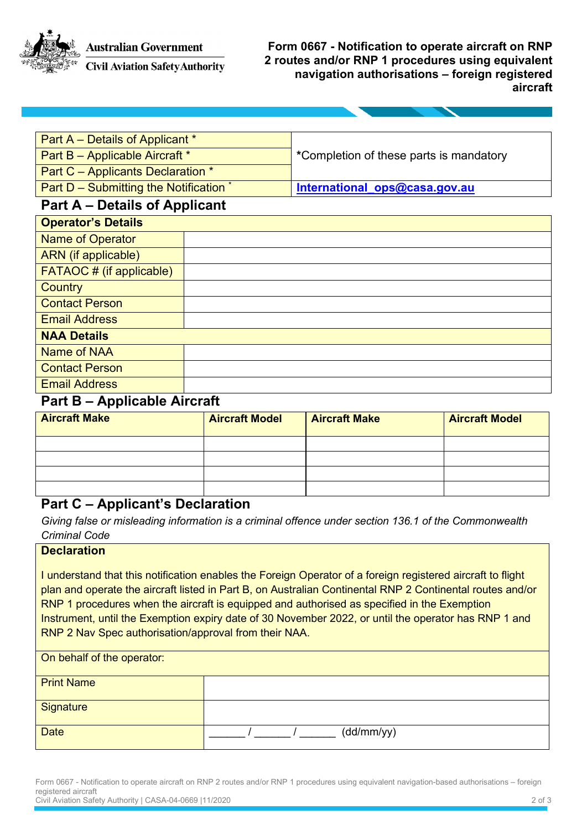**Australian Government** 



**Civil Aviation Safety Authority** 

**Form 0667 - Notification to operate aircraft on RNP 2 routes and/or RNP 1 procedures using equivalent navigation authorisations – foreign registered aircraft**

| Part A - Details of Applicant *        |  |                                         |  |  |  |
|----------------------------------------|--|-----------------------------------------|--|--|--|
| Part B - Applicable Aircraft *         |  | *Completion of these parts is mandatory |  |  |  |
| Part C - Applicants Declaration *      |  |                                         |  |  |  |
| Part D - Submitting the Notification * |  | International ops@casa.gov.au           |  |  |  |
| <b>Part A – Details of Applicant</b>   |  |                                         |  |  |  |
| <b>Operator's Details</b>              |  |                                         |  |  |  |
| <b>Name of Operator</b>                |  |                                         |  |  |  |
| <b>ARN</b> (if applicable)             |  |                                         |  |  |  |
| <b>FATAOC # (if applicable)</b>        |  |                                         |  |  |  |
| <b>Country</b>                         |  |                                         |  |  |  |
| <b>Contact Person</b>                  |  |                                         |  |  |  |
| <b>Email Address</b>                   |  |                                         |  |  |  |
| <b>NAA Details</b>                     |  |                                         |  |  |  |
| Name of NAA                            |  |                                         |  |  |  |
| <b>Contact Person</b>                  |  |                                         |  |  |  |
| <b>Email Address</b>                   |  |                                         |  |  |  |

#### **Part B – Applicable Aircraft**

| <b>Aircraft Make</b> | <b>Aircraft Model</b> | <b>Aircraft Make</b> | <b>Aircraft Model</b> |
|----------------------|-----------------------|----------------------|-----------------------|
|                      |                       |                      |                       |
|                      |                       |                      |                       |
|                      |                       |                      |                       |
|                      |                       |                      |                       |

### **Part C – Applicant's Declaration**

*Giving false or misleading information is a criminal offence under section 136.1 of the Commonwealth Criminal Code*

#### **Declaration**

I understand that this notification enables the Foreign Operator of a foreign registered aircraft to flight plan and operate the aircraft listed in Part B, on Australian Continental RNP 2 Continental routes and/or RNP 1 procedures when the aircraft is equipped and authorised as specified in the Exemption Instrument, until the Exemption expiry date of 30 November 2022, or until the operator has RNP 1 and RNP 2 Nav Spec authorisation/approval from their NAA.

| On behalf of the operator: |            |
|----------------------------|------------|
| <b>Print Name</b>          |            |
| Signature                  |            |
| <b>Date</b>                | (dd/mm/yy) |

Form 0667 - Notification to operate aircraft on RNP 2 routes and/or RNP 1 procedures using equivalent navigation-based authorisations – foreign registered aircraft Civil Aviation Safety Authority | CASA-04-0669 |11/2020 2 of 3